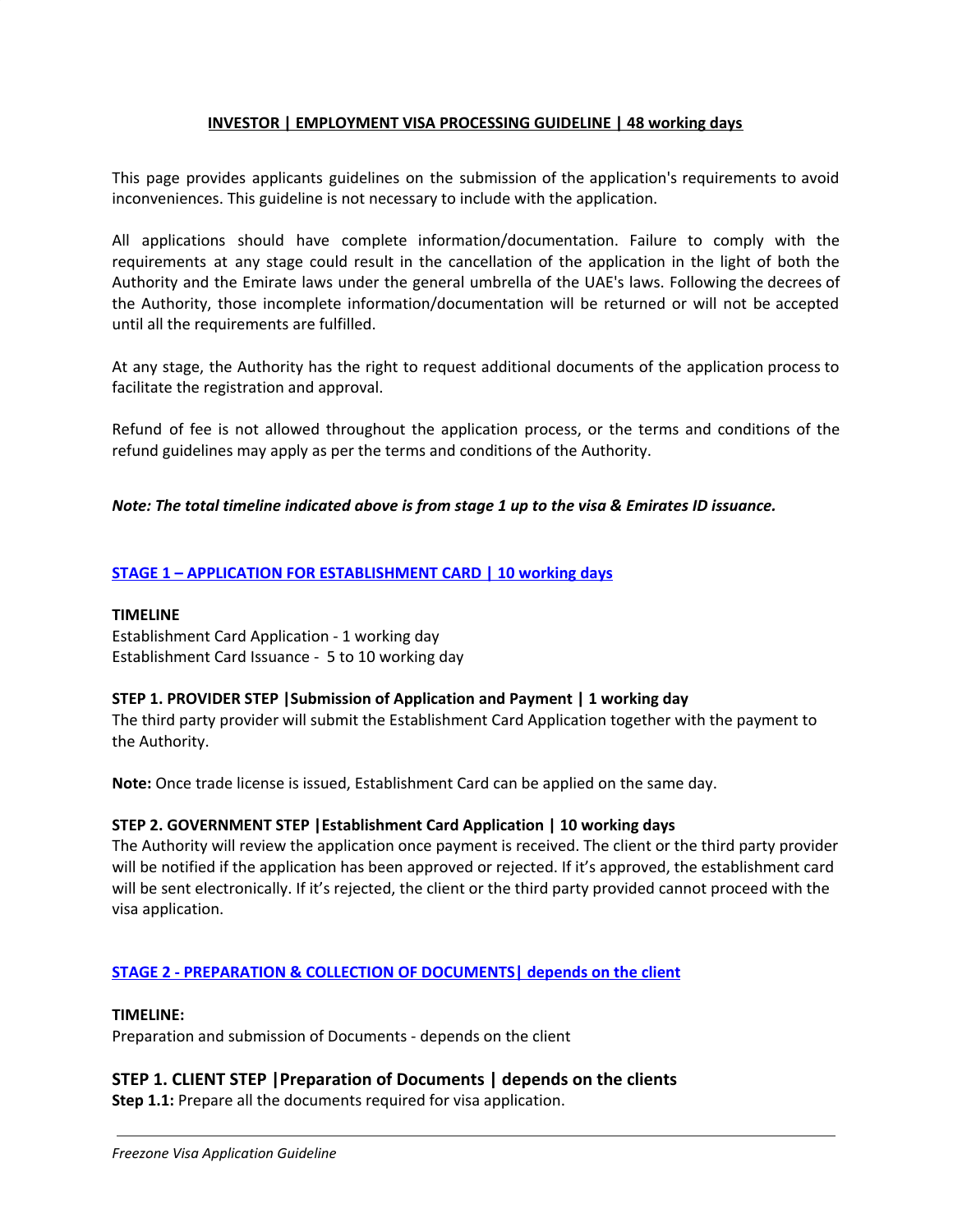### **INVESTOR | EMPLOYMENT VISA PROCESSING GUIDELINE | 48 working days**

This page provides applicants guidelines on the submission of the application's requirements to avoid inconveniences. This guideline is not necessary to include with the application.

All applications should have complete information/documentation. Failure to comply with the requirements at any stage could result in the cancellation of the application in the light of both the Authority and the Emirate laws under the general umbrella of the UAE's laws. Following the decrees of the Authority, those incomplete information/documentation will be returned or will not be accepted until all the requirements are fulfilled.

At any stage, the Authority has the right to request additional documents of the application process to facilitate the registration and approval.

Refund of fee is not allowed throughout the application process, or the terms and conditions of the refund guidelines may apply as per the terms and conditions of the Authority.

### *Note: The total timeline indicated above is from stage 1 up to the visa & Emirates ID issuance.*

### **STAGE 1 – APPLICATION FOR ESTABLISHMENT CARD | 10 working days**

#### **TIMELINE**

Establishment Card Application - 1 working day Establishment Card Issuance - 5 to 10 working day

#### **STEP 1. PROVIDER STEP |Submission of Application and Payment | 1 working day**

The third party provider will submit the Establishment Card Application together with the payment to the Authority.

**Note:** Once trade license is issued, Establishment Card can be applied on the same day.

#### **STEP 2. GOVERNMENT STEP |Establishment Card Application | 10 working days**

The Authority will review the application once payment is received. The client or the third party provider will be notified if the application has been approved or rejected. If it's approved, the establishment card will be sent electronically. If it's rejected, the client or the third party provided cannot proceed with the visa application.

#### **STAGE 2 - PREPARATION & COLLECTION OF DOCUMENTS| depends on the client**

#### **TIMELINE:**

Preparation and submission of Documents - depends on the client

## **STEP 1. CLIENT STEP |Preparation of Documents | depends on the clients**

**Step 1.1:** Prepare all the documents required for visa application.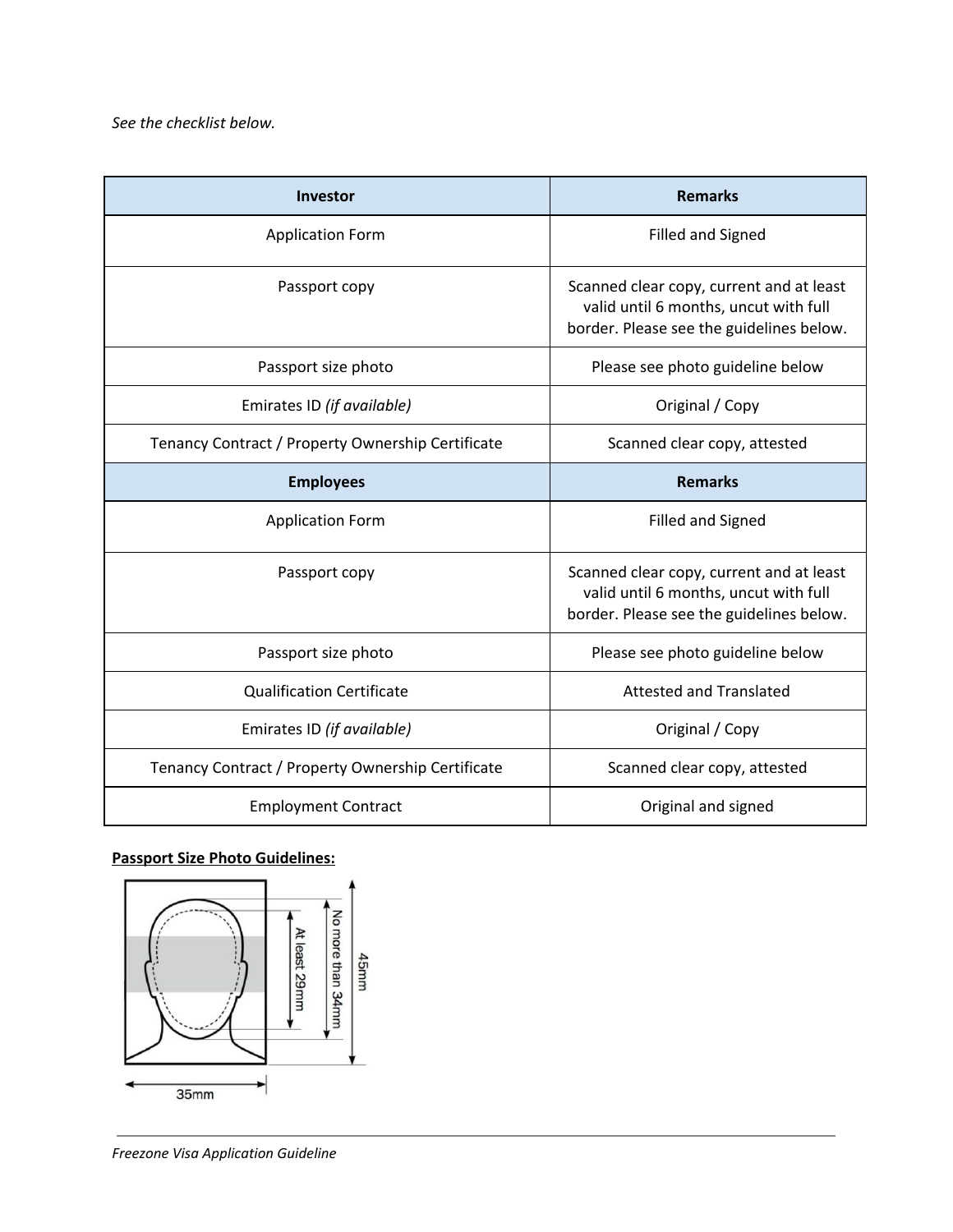| <b>Investor</b>                                   | <b>Remarks</b>                                                                                                                |
|---------------------------------------------------|-------------------------------------------------------------------------------------------------------------------------------|
| <b>Application Form</b>                           | <b>Filled and Signed</b>                                                                                                      |
| Passport copy                                     | Scanned clear copy, current and at least<br>valid until 6 months, uncut with full<br>border. Please see the guidelines below. |
| Passport size photo                               | Please see photo guideline below                                                                                              |
| Emirates ID (if available)                        | Original / Copy                                                                                                               |
| Tenancy Contract / Property Ownership Certificate | Scanned clear copy, attested                                                                                                  |
| <b>Employees</b>                                  | <b>Remarks</b>                                                                                                                |
| <b>Application Form</b>                           | <b>Filled and Signed</b>                                                                                                      |
| Passport copy                                     | Scanned clear copy, current and at least<br>valid until 6 months, uncut with full<br>border. Please see the guidelines below. |
| Passport size photo                               | Please see photo guideline below                                                                                              |
| <b>Qualification Certificate</b>                  | <b>Attested and Translated</b>                                                                                                |
| Emirates ID (if available)                        | Original / Copy                                                                                                               |
| Tenancy Contract / Property Ownership Certificate | Scanned clear copy, attested                                                                                                  |
| <b>Employment Contract</b>                        | Original and signed                                                                                                           |

# **Passport Size Photo Guidelines:**

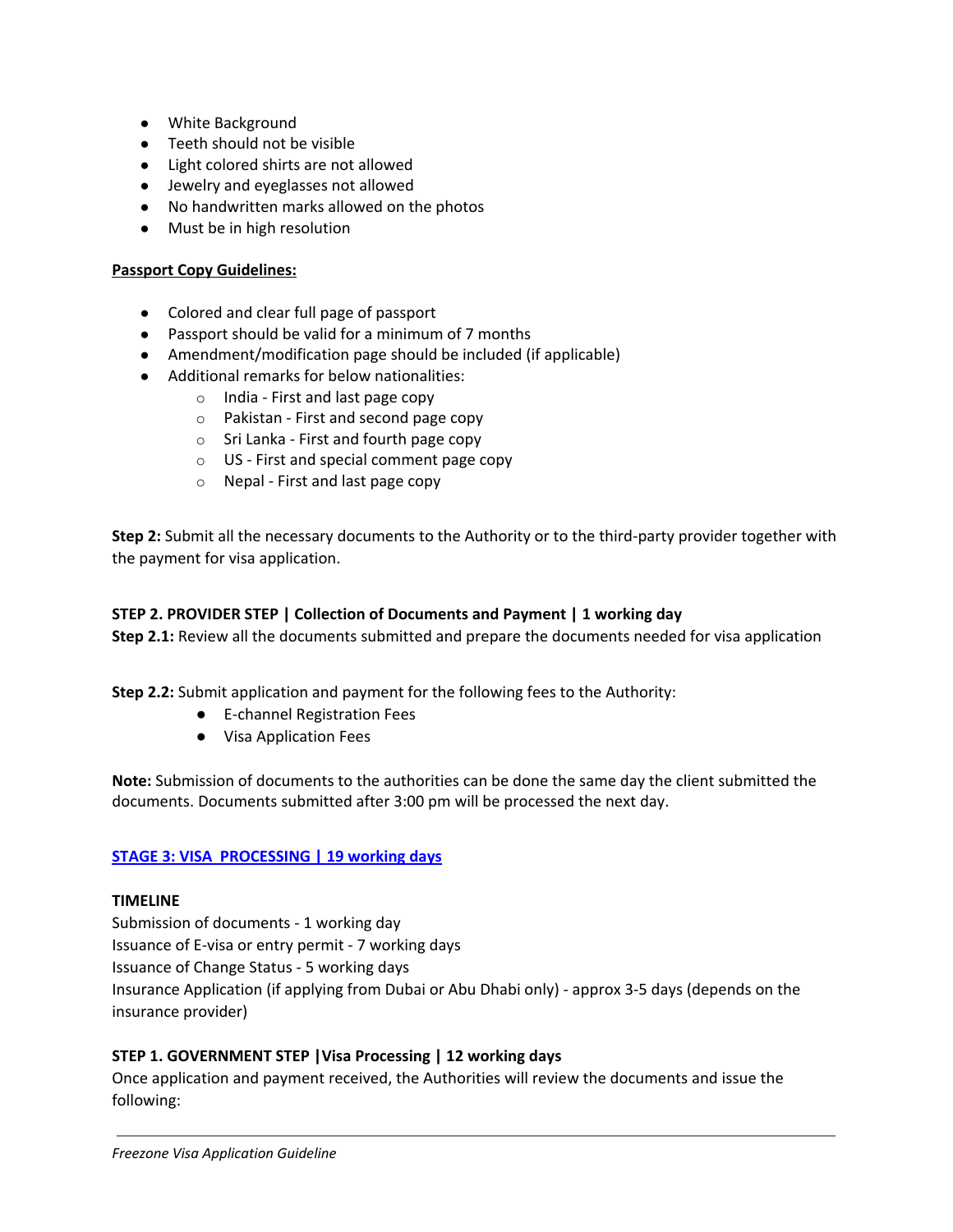- **●** White Background
- **●** Teeth should not be visible
- **●** Light colored shirts are not allowed
- **●** Jewelry and eyeglasses not allowed
- **●** No handwritten marks allowed on the photos
- **●** Must be in high resolution

### **Passport Copy Guidelines:**

- Colored and clear full page of passport
- Passport should be valid for a minimum of 7 months
- Amendment/modification page should be included (if applicable)
- Additional remarks for below nationalities:
	- o India First and last page copy
	- o Pakistan First and second page copy
	- $\circ$  Sri Lanka First and fourth page copy
	- o US First and special comment page copy
	- o Nepal First and last page copy

**Step 2:** Submit all the necessary documents to the Authority or to the third-party provider together with the payment for visa application.

#### **STEP 2. PROVIDER STEP | Collection of Documents and Payment | 1 working day**

**Step 2.1:** Review all the documents submitted and prepare the documents needed for visa application

**Step 2.2:** Submit application and payment for the following fees to the Authority:

- E-channel Registration Fees
- Visa Application Fees

**Note:** Submission of documents to the authorities can be done the same day the client submitted the documents. Documents submitted after 3:00 pm will be processed the next day.

#### **STAGE 3: VISA PROCESSING | 19 working days**

#### **TIMELINE**

Submission of documents - 1 working day Issuance of E-visa or entry permit - 7 working days Issuance of Change Status - 5 working days Insurance Application (if applying from Dubai or Abu Dhabi only) - approx 3-5 days (depends on the insurance provider)

### **STEP 1. GOVERNMENT STEP |Visa Processing | 12 working days**

Once application and payment received, the Authorities will review the documents and issue the following: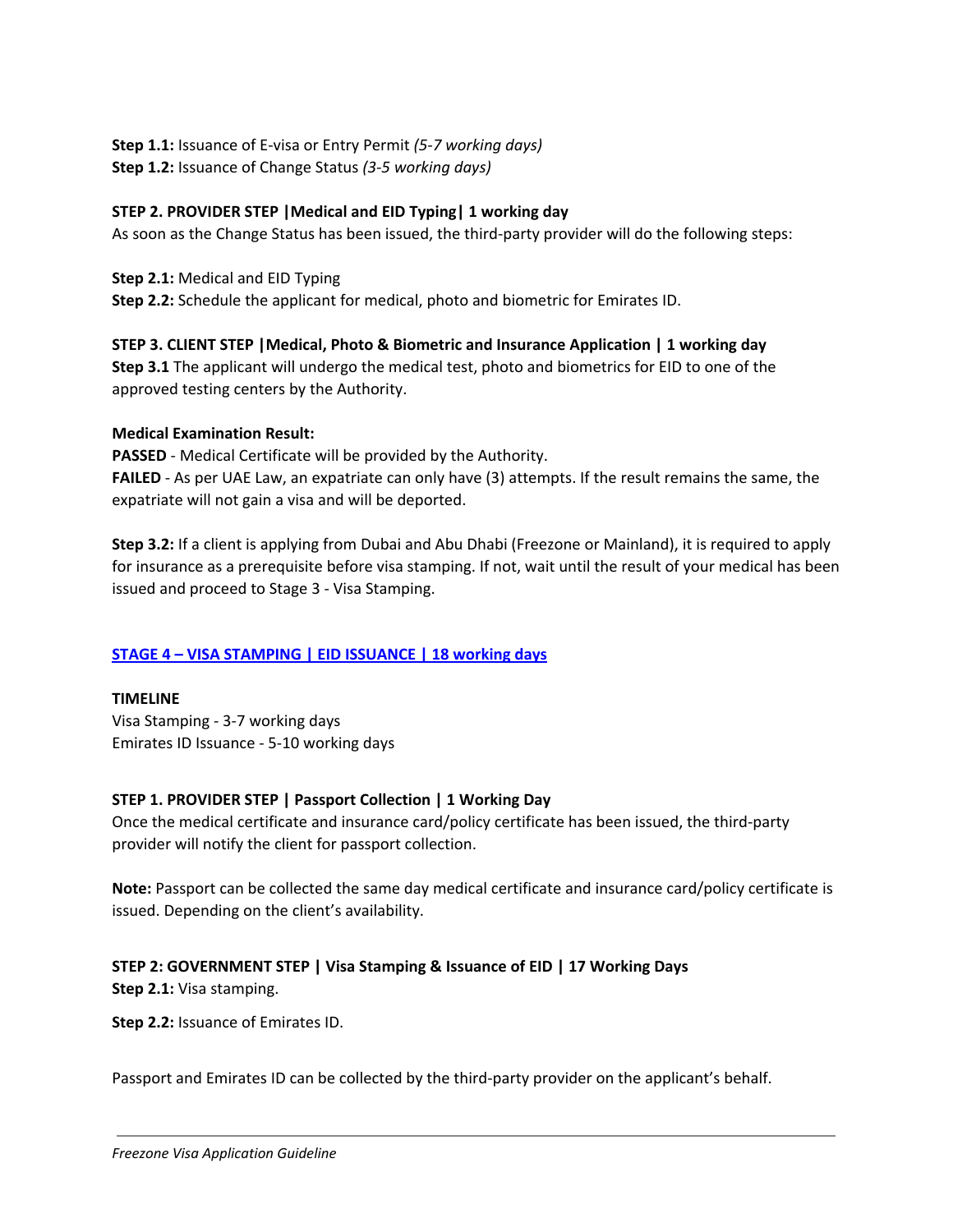**Step 1.1:** Issuance of E-visa or Entry Permit *(5-7 working days)* **Step 1.2:** Issuance of Change Status *(3-5 working days)*

### **STEP 2. PROVIDER STEP |Medical and EID Typing| 1 working day**

As soon as the Change Status has been issued, the third-party provider will do the following steps:

**Step 2.1:** Medical and EID Typing **Step 2.2:** Schedule the applicant for medical, photo and biometric for Emirates ID.

### **STEP 3. CLIENT STEP |Medical, Photo & Biometric and Insurance Application | 1 working day**

**Step 3.1** The applicant will undergo the medical test, photo and biometrics for EID to one of the approved testing centers by the Authority.

### **Medical Examination Result:**

**PASSED** - Medical Certificate will be provided by the Authority.

**FAILED** - As per UAE Law, an expatriate can only have (3) attempts. If the result remains the same, the expatriate will not gain a visa and will be deported.

**Step 3.2:** If a client is applying from Dubai and Abu Dhabi (Freezone or Mainland), it is required to apply for insurance as a prerequisite before visa stamping. If not, wait until the result of your medical has been issued and proceed to Stage 3 - Visa Stamping.

## **STAGE 4 – VISA STAMPING | EID ISSUANCE | 18 working days**

**TIMELINE** Visa Stamping - 3-7 working days Emirates ID Issuance - 5-10 working days

## **STEP 1. PROVIDER STEP | Passport Collection | 1 Working Day**

Once the medical certificate and insurance card/policy certificate has been issued, the third-party provider will notify the client for passport collection.

**Note:** Passport can be collected the same day medical certificate and insurance card/policy certificate is issued. Depending on the client's availability.

## **STEP 2: GOVERNMENT STEP | Visa Stamping & Issuance of EID | 17 Working Days**

**Step 2.1:** Visa stamping.

**Step 2.2:** Issuance of Emirates ID.

Passport and Emirates ID can be collected by the third-party provider on the applicant's behalf.